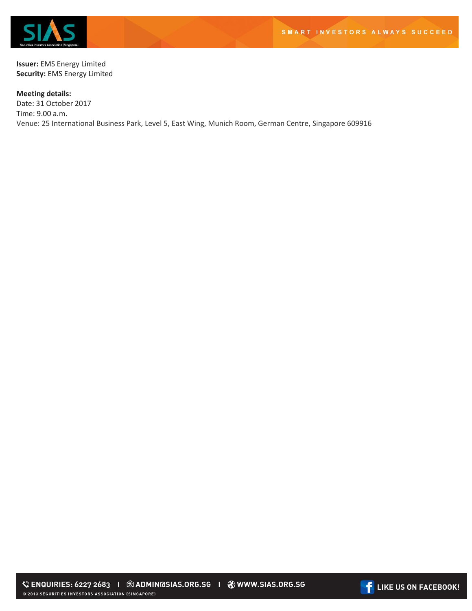

**Issuer:** EMS Energy Limited **Security:** EMS Energy Limited

**Meeting details:**  Date: 31 October 2017 Time: 9.00 a.m. Venue: 25 International Business Park, Level 5, East Wing, Munich Room, German Centre, Singapore 609916

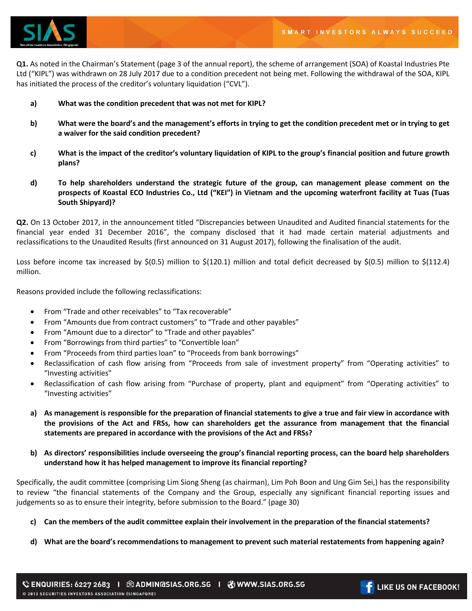

**Q1.** As noted in the Chairman's Statement (page 3 of the annual report), the scheme of arrangement (SOA) of Koastal Industries Pte Ltd ("KIPL") was withdrawn on 28 July 2017 due to a condition precedent not being met. Following the withdrawal of the SOA, KIPL has initiated the process of the creditor's voluntary liquidation ("CVL").

- **a) What was the condition precedent that was not met for KIPL?**
- **b) What were the board's and the management's efforts in trying to get the condition precedent met or in trying to get a waiver for the said condition precedent?**
- **c) What is the impact of the creditor's voluntary liquidation of KIPL to the group's financial position and future growth plans?**
- **d) To help shareholders understand the strategic future of the group, can management please comment on the prospects of Koastal ECO Industries Co., Ltd ("KEI") in Vietnam and the upcoming waterfront facility at Tuas (Tuas South Shipyard)?**

**Q2.** On 13 October 2017, in the announcement titled "Discrepancies between Unaudited and Audited financial statements for the financial year ended 31 December 2016", the company disclosed that it had made certain material adjustments and reclassifications to the Unaudited Results (first announced on 31 August 2017), following the finalisation of the audit.

Loss before income tax increased by  $\zeta(0.5)$  million to  $\zeta(120.1)$  million and total deficit decreased by  $\zeta(0.5)$  million to  $\zeta(112.4)$ million.

Reasons provided include the following reclassifications:

- From "Trade and other receivables" to "Tax recoverable"
- From "Amounts due from contract customers" to "Trade and other payables"
- From "Amount due to a director" to "Trade and other payables"
- From "Borrowings from third parties" to "Convertible loan"
- From "Proceeds from third parties loan" to "Proceeds from bank borrowings"
- Reclassification of cash flow arising from "Proceeds from sale of investment property" from "Operating activities" to "Investing activities"
- Reclassification of cash flow arising from "Purchase of property, plant and equipment" from "Operating activities" to "Investing activities"
- **a) As management is responsible for the preparation of financial statements to give a true and fair view in accordance with the provisions of the Act and FRSs, how can shareholders get the assurance from management that the financial statements are prepared in accordance with the provisions of the Act and FRSs?**
- **b) As directors' responsibilities include overseeing the group's financial reporting process, can the board help shareholders understand how it has helped management to improve its financial reporting?**

Specifically, the audit committee (comprising Lim Siong Sheng (as chairman), Lim Poh Boon and Ung Gim Sei,) has the responsibility to review "the financial statements of the Company and the Group, especially any significant financial reporting issues and judgements so as to ensure their integrity, before submission to the Board." (page 30)

- **c) Can the members of the audit committee explain their involvement in the preparation of the financial statements?**
- **d) What are the board's recommendations to management to prevent such material restatements from happening again?**